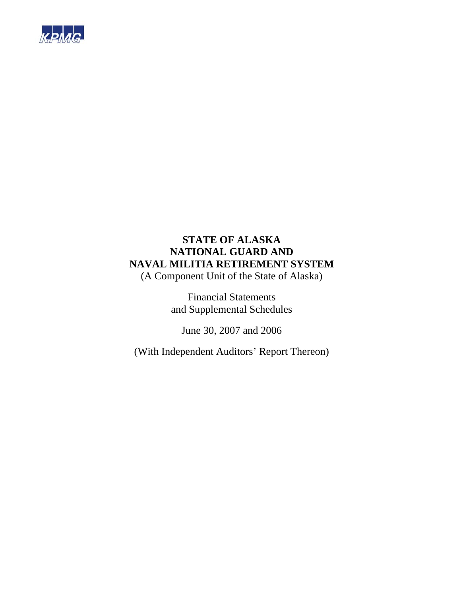

(A Component Unit of the State of Alaska)

Financial Statements and Supplemental Schedules

June 30, 2007 and 2006

(With Independent Auditors' Report Thereon)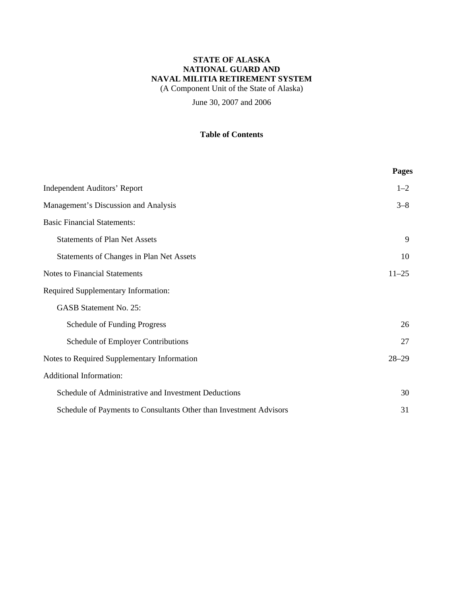(A Component Unit of the State of Alaska)

June 30, 2007 and 2006

### **Table of Contents**

|                                                                    | Pages     |
|--------------------------------------------------------------------|-----------|
| <b>Independent Auditors' Report</b>                                | $1 - 2$   |
| Management's Discussion and Analysis                               | $3 - 8$   |
| <b>Basic Financial Statements:</b>                                 |           |
| <b>Statements of Plan Net Assets</b>                               | 9         |
| Statements of Changes in Plan Net Assets                           | 10        |
| <b>Notes to Financial Statements</b>                               | $11 - 25$ |
| <b>Required Supplementary Information:</b>                         |           |
| <b>GASB Statement No. 25:</b>                                      |           |
| Schedule of Funding Progress                                       | 26        |
| Schedule of Employer Contributions                                 | 27        |
| Notes to Required Supplementary Information                        | $28 - 29$ |
| <b>Additional Information:</b>                                     |           |
| Schedule of Administrative and Investment Deductions               | 30        |
| Schedule of Payments to Consultants Other than Investment Advisors | 31        |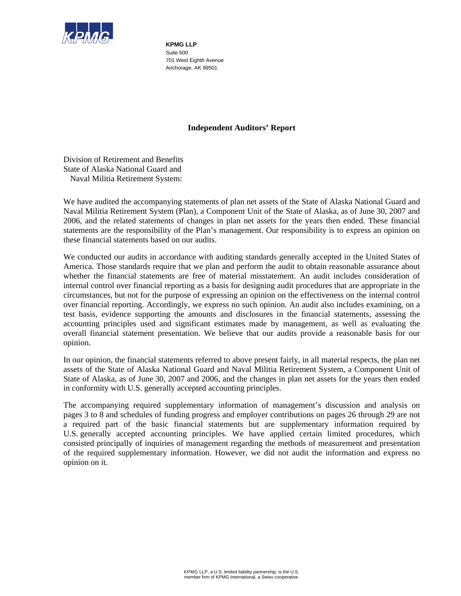

**KPMG LLP**  Suite 600 701 West Eighth Avenue Anchorage, AK 99501

### **Independent Auditors' Report**

Division of Retirement and Benefits State of Alaska National Guard and Naval Militia Retirement System:

We have audited the accompanying statements of plan net assets of the State of Alaska National Guard and Naval Militia Retirement System (Plan), a Component Unit of the State of Alaska, as of June 30, 2007 and 2006, and the related statements of changes in plan net assets for the years then ended. These financial statements are the responsibility of the Plan's management. Our responsibility is to express an opinion on these financial statements based on our audits.

We conducted our audits in accordance with auditing standards generally accepted in the United States of America. Those standards require that we plan and perform the audit to obtain reasonable assurance about whether the financial statements are free of material misstatement. An audit includes consideration of internal control over financial reporting as a basis for designing audit procedures that are appropriate in the circumstances, but not for the purpose of expressing an opinion on the effectiveness on the internal control over financial reporting. Accordingly, we express no such opinion. An audit also includes examining, on a test basis, evidence supporting the amounts and disclosures in the financial statements, assessing the accounting principles used and significant estimates made by management, as well as evaluating the overall financial statement presentation. We believe that our audits provide a reasonable basis for our opinion.

In our opinion, the financial statements referred to above present fairly, in all material respects, the plan net assets of the State of Alaska National Guard and Naval Militia Retirement System, a Component Unit of State of Alaska, as of June 30, 2007 and 2006, and the changes in plan net assets for the years then ended in conformity with U.S. generally accepted accounting principles.

The accompanying required supplementary information of management's discussion and analysis on pages 3 to 8 and schedules of funding progress and employer contributions on pages 26 through 29 are not a required part of the basic financial statements but are supplementary information required by U.S. generally accepted accounting principles. We have applied certain limited procedures, which consisted principally of inquiries of management regarding the methods of measurement and presentation of the required supplementary information. However, we did not audit the information and express no opinion on it.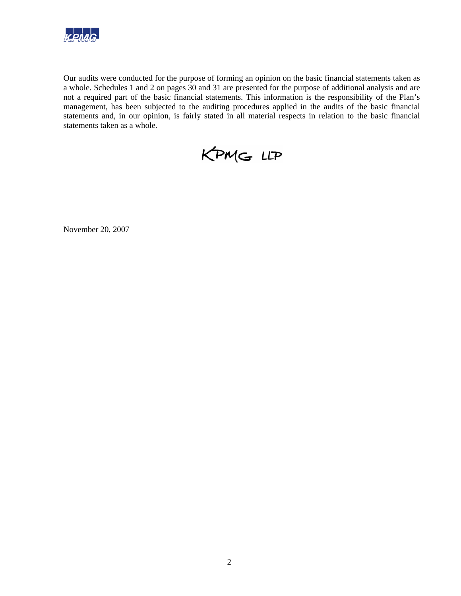

Our audits were conducted for the purpose of forming an opinion on the basic financial statements taken as a whole. Schedules 1 and 2 on pages 30 and 31 are presented for the purpose of additional analysis and are not a required part of the basic financial statements. This information is the responsibility of the Plan's management, has been subjected to the auditing procedures applied in the audits of the basic financial statements and, in our opinion, is fairly stated in all material respects in relation to the basic financial statements taken as a whole.



November 20, 2007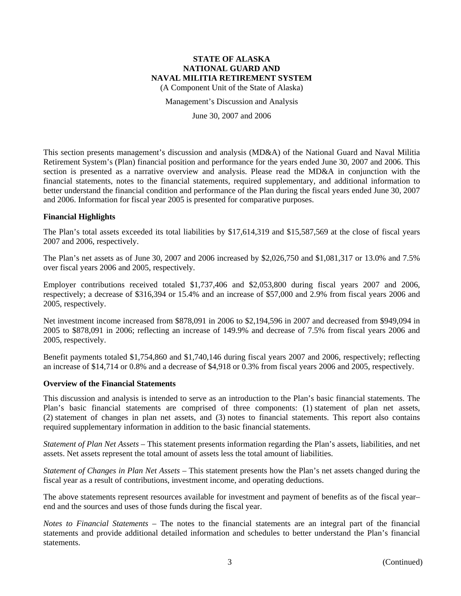(A Component Unit of the State of Alaska)

Management's Discussion and Analysis

June 30, 2007 and 2006

This section presents management's discussion and analysis (MD&A) of the National Guard and Naval Militia Retirement System's (Plan) financial position and performance for the years ended June 30, 2007 and 2006. This section is presented as a narrative overview and analysis. Please read the MD&A in conjunction with the financial statements, notes to the financial statements, required supplementary, and additional information to better understand the financial condition and performance of the Plan during the fiscal years ended June 30, 2007 and 2006. Information for fiscal year 2005 is presented for comparative purposes.

### **Financial Highlights**

The Plan's total assets exceeded its total liabilities by \$17,614,319 and \$15,587,569 at the close of fiscal years 2007 and 2006, respectively.

The Plan's net assets as of June 30, 2007 and 2006 increased by \$2,026,750 and \$1,081,317 or 13.0% and 7.5% over fiscal years 2006 and 2005, respectively.

Employer contributions received totaled \$1,737,406 and \$2,053,800 during fiscal years 2007 and 2006, respectively; a decrease of \$316,394 or 15.4% and an increase of \$57,000 and 2.9% from fiscal years 2006 and 2005, respectively.

Net investment income increased from \$878,091 in 2006 to \$2,194,596 in 2007 and decreased from \$949,094 in 2005 to \$878,091 in 2006; reflecting an increase of 149.9% and decrease of 7.5% from fiscal years 2006 and 2005, respectively.

Benefit payments totaled \$1,754,860 and \$1,740,146 during fiscal years 2007 and 2006, respectively; reflecting an increase of \$14,714 or 0.8% and a decrease of \$4,918 or 0.3% from fiscal years 2006 and 2005, respectively.

#### **Overview of the Financial Statements**

This discussion and analysis is intended to serve as an introduction to the Plan's basic financial statements. The Plan's basic financial statements are comprised of three components: (1) statement of plan net assets, (2) statement of changes in plan net assets, and (3) notes to financial statements. This report also contains required supplementary information in addition to the basic financial statements.

*Statement of Plan Net Assets* – This statement presents information regarding the Plan's assets, liabilities, and net assets. Net assets represent the total amount of assets less the total amount of liabilities.

*Statement of Changes in Plan Net Assets* – This statement presents how the Plan's net assets changed during the fiscal year as a result of contributions, investment income, and operating deductions.

The above statements represent resources available for investment and payment of benefits as of the fiscal year– end and the sources and uses of those funds during the fiscal year.

*Notes to Financial Statements* – The notes to the financial statements are an integral part of the financial statements and provide additional detailed information and schedules to better understand the Plan's financial statements.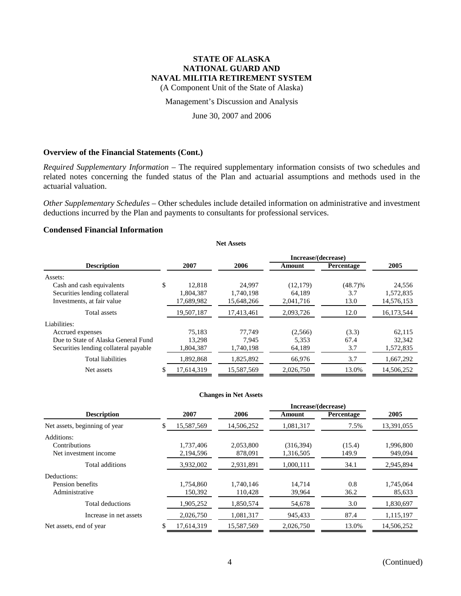(A Component Unit of the State of Alaska)

Management's Discussion and Analysis

### June 30, 2007 and 2006

#### **Overview of the Financial Statements (Cont.)**

*Required Supplementary Information* – The required supplementary information consists of two schedules and related notes concerning the funded status of the Plan and actuarial assumptions and methods used in the actuarial valuation.

*Other Supplementary Schedules* – Other schedules include detailed information on administrative and investment deductions incurred by the Plan and payments to consultants for professional services.

**Net Assets**

### **Condensed Financial Information**

| Increase/(decrease)                   |    |            |            |           |            |            |
|---------------------------------------|----|------------|------------|-----------|------------|------------|
| <b>Description</b>                    |    | 2007       | 2006       | Amount    | Percentage | 2005       |
| Assets:                               |    |            |            |           |            |            |
| Cash and cash equivalents             | \$ | 12.818     | 24.997     | (12, 179) | $(48.7)\%$ | 24,556     |
| Securities lending collateral         |    | 1,804,387  | 1,740,198  | 64,189    | 3.7        | 1,572,835  |
| Investments, at fair value            |    | 17,689,982 | 15,648,266 | 2,041,716 | 13.0       | 14,576,153 |
| Total assets                          |    | 19,507,187 | 17,413,461 | 2,093,726 | 12.0       | 16,173,544 |
| Liabilities:                          |    |            |            |           |            |            |
| Accrued expenses                      |    | 75.183     | 77.749     | (2,566)   | (3.3)      | 62,115     |
| Due to State of Alaska General Fund   |    | 13.298     | 7.945      | 5,353     | 67.4       | 32,342     |
| Securities lending collateral payable |    | 1,804,387  | 1,740,198  | 64,189    | 3.7        | 1,572,835  |
| <b>Total liabilities</b>              |    | 1,892,868  | 1,825,892  | 66,976    | 3.7        | 1,667,292  |
| Net assets                            |    | 17,614,319 | 15,587,569 | 2,026,750 | 13.0%      | 14,506,252 |

#### **Changes in Net Assets**

|                                                      |  |                        |                      |                         | Increase/(decrease) |                      |  |
|------------------------------------------------------|--|------------------------|----------------------|-------------------------|---------------------|----------------------|--|
| <b>Description</b>                                   |  | 2007                   | 2006                 | Amount                  | Percentage          | 2005                 |  |
| Net assets, beginning of year                        |  | 15,587,569             | 14,506,252           | 1,081,317               | 7.5%                | 13,391,055           |  |
| Additions:<br>Contributions<br>Net investment income |  | 1.737.406<br>2,194,596 | 2,053,800<br>878.091 | (316, 394)<br>1,316,505 | (15.4)<br>149.9     | 1,996,800<br>949,094 |  |
| Total additions                                      |  | 3,932,002              | 2,931,891            | 1,000,111               | 34.1                | 2,945,894            |  |
| Deductions:                                          |  |                        |                      |                         |                     |                      |  |
| Pension benefits<br>Administrative                   |  | 1,754,860<br>150,392   | 1.740.146<br>110,428 | 14.714<br>39,964        | 0.8<br>36.2         | 1,745,064<br>85,633  |  |
| Total deductions                                     |  | 1,905,252              | 1,850,574            | 54,678                  | 3.0                 | 1,830,697            |  |
| Increase in net assets                               |  | 2,026,750              | 1,081,317            | 945.433                 | 87.4                | 1,115,197            |  |
| Net assets, end of year                              |  | 17,614,319             | 15,587,569           | 2,026,750               | 13.0%               | 14,506,252           |  |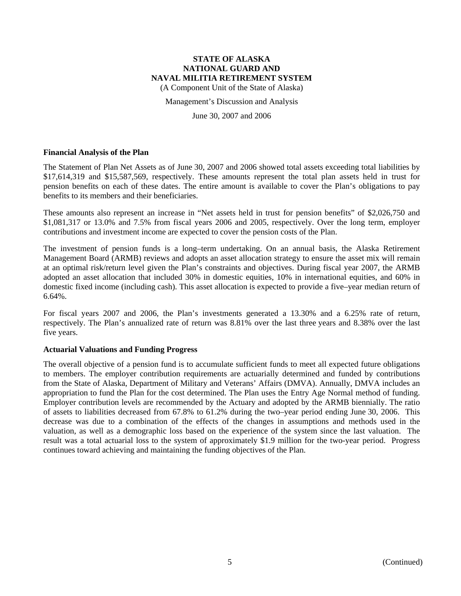(A Component Unit of the State of Alaska)

#### Management's Discussion and Analysis

June 30, 2007 and 2006

#### **Financial Analysis of the Plan**

The Statement of Plan Net Assets as of June 30, 2007 and 2006 showed total assets exceeding total liabilities by \$17,614,319 and \$15,587,569, respectively. These amounts represent the total plan assets held in trust for pension benefits on each of these dates. The entire amount is available to cover the Plan's obligations to pay benefits to its members and their beneficiaries.

These amounts also represent an increase in "Net assets held in trust for pension benefits" of \$2,026,750 and \$1,081,317 or 13.0% and 7.5% from fiscal years 2006 and 2005, respectively. Over the long term, employer contributions and investment income are expected to cover the pension costs of the Plan.

The investment of pension funds is a long–term undertaking. On an annual basis, the Alaska Retirement Management Board (ARMB) reviews and adopts an asset allocation strategy to ensure the asset mix will remain at an optimal risk/return level given the Plan's constraints and objectives. During fiscal year 2007, the ARMB adopted an asset allocation that included 30% in domestic equities, 10% in international equities, and 60% in domestic fixed income (including cash). This asset allocation is expected to provide a five–year median return of  $6.64\%$ .

For fiscal years 2007 and 2006, the Plan's investments generated a 13.30% and a 6.25% rate of return, respectively. The Plan's annualized rate of return was 8.81% over the last three years and 8.38% over the last five years.

#### **Actuarial Valuations and Funding Progress**

The overall objective of a pension fund is to accumulate sufficient funds to meet all expected future obligations to members. The employer contribution requirements are actuarially determined and funded by contributions from the State of Alaska, Department of Military and Veterans' Affairs (DMVA). Annually, DMVA includes an appropriation to fund the Plan for the cost determined. The Plan uses the Entry Age Normal method of funding. Employer contribution levels are recommended by the Actuary and adopted by the ARMB biennially. The ratio of assets to liabilities decreased from 67.8% to 61.2% during the two–year period ending June 30, 2006. This decrease was due to a combination of the effects of the changes in assumptions and methods used in the valuation, as well as a demographic loss based on the experience of the system since the last valuation. The result was a total actuarial loss to the system of approximately \$1.9 million for the two-year period. Progress continues toward achieving and maintaining the funding objectives of the Plan.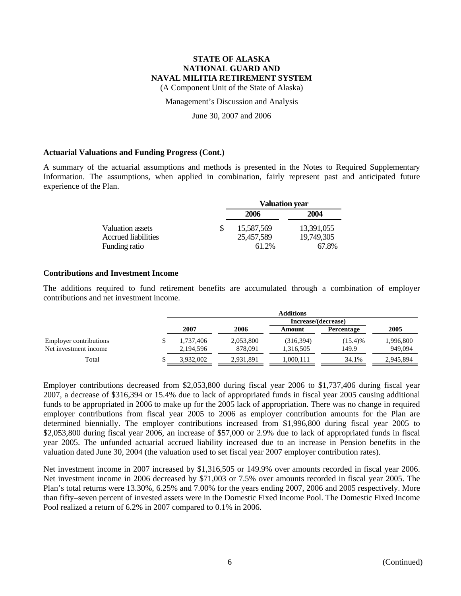(A Component Unit of the State of Alaska)

Management's Discussion and Analysis

June 30, 2007 and 2006

### **Actuarial Valuations and Funding Progress (Cont.)**

A summary of the actuarial assumptions and methods is presented in the Notes to Required Supplementary Information. The assumptions, when applied in combination, fairly represent past and anticipated future experience of the Plan.

|                     |    | <b>Valuation year</b> |             |  |  |
|---------------------|----|-----------------------|-------------|--|--|
|                     |    | 2006                  | <b>2004</b> |  |  |
| Valuation assets    | S. | 15,587,569            | 13.391.055  |  |  |
| Accrued liabilities |    | 25,457,589            | 19,749,305  |  |  |
| Funding ratio       |    | 61.2%                 | 67.8%       |  |  |

### **Contributions and Investment Income**

The additions required to fund retirement benefits are accumulated through a combination of employer contributions and net investment income.

|                               | <b>Additions</b> |           |            |                     |           |  |
|-------------------------------|------------------|-----------|------------|---------------------|-----------|--|
|                               |                  |           |            | Increase/(decrease) |           |  |
|                               | 2007             | 2006      | Amount     | <b>Percentage</b>   | 2005      |  |
| <b>Employer contributions</b> | 1.737.406        | 2,053,800 | (316, 394) | (15.4)%             | 1,996,800 |  |
| Net investment income         | 2,194,596        | 878.091   | 1,316,505  | 149.9               | 949,094   |  |
| Total                         | 3.932.002        | 2,931,891 | .000.111   | 34.1%               | 2,945,894 |  |

Employer contributions decreased from \$2,053,800 during fiscal year 2006 to \$1,737,406 during fiscal year 2007, a decrease of \$316,394 or 15.4% due to lack of appropriated funds in fiscal year 2005 causing additional funds to be appropriated in 2006 to make up for the 2005 lack of appropriation. There was no change in required employer contributions from fiscal year 2005 to 2006 as employer contribution amounts for the Plan are determined biennially. The employer contributions increased from \$1,996,800 during fiscal year 2005 to \$2,053,800 during fiscal year 2006, an increase of \$57,000 or 2.9% due to lack of appropriated funds in fiscal year 2005. The unfunded actuarial accrued liability increased due to an increase in Pension benefits in the valuation dated June 30, 2004 (the valuation used to set fiscal year 2007 employer contribution rates).

Net investment income in 2007 increased by \$1,316,505 or 149.9% over amounts recorded in fiscal year 2006. Net investment income in 2006 decreased by \$71,003 or 7.5% over amounts recorded in fiscal year 2005. The Plan's total returns were 13.30%, 6.25% and 7.00% for the years ending 2007, 2006 and 2005 respectively. More than fifty–seven percent of invested assets were in the Domestic Fixed Income Pool. The Domestic Fixed Income Pool realized a return of 6.2% in 2007 compared to 0.1% in 2006.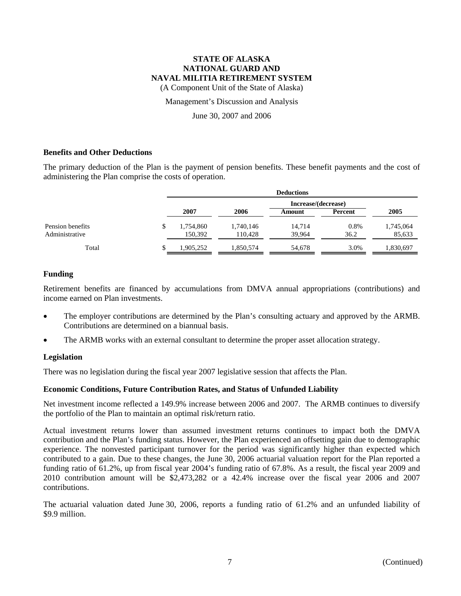(A Component Unit of the State of Alaska)

Management's Discussion and Analysis

June 30, 2007 and 2006

### **Benefits and Other Deductions**

The primary deduction of the Plan is the payment of pension benefits. These benefit payments and the cost of administering the Plan comprise the costs of operation.

|                                    | <b>Deductions</b>          |                      |                  |              |                     |
|------------------------------------|----------------------------|----------------------|------------------|--------------|---------------------|
|                                    |                            | Increase/(decrease)  |                  |              |                     |
|                                    | 2007                       | 2006                 | Amount           | Percent      | 2005                |
| Pension benefits<br>Administrative | \$<br>1,754,860<br>150.392 | 1,740,146<br>110.428 | 14.714<br>39.964 | 0.8%<br>36.2 | 1,745,064<br>85,633 |
| Total                              | 1,905,252                  | 1,850,574            | 54,678           | 3.0%         | 1,830,697           |

### **Funding**

Retirement benefits are financed by accumulations from DMVA annual appropriations (contributions) and income earned on Plan investments.

- The employer contributions are determined by the Plan's consulting actuary and approved by the ARMB. Contributions are determined on a biannual basis.
- The ARMB works with an external consultant to determine the proper asset allocation strategy.

#### **Legislation**

There was no legislation during the fiscal year 2007 legislative session that affects the Plan.

### **Economic Conditions, Future Contribution Rates, and Status of Unfunded Liability**

Net investment income reflected a 149.9% increase between 2006 and 2007. The ARMB continues to diversify the portfolio of the Plan to maintain an optimal risk/return ratio.

Actual investment returns lower than assumed investment returns continues to impact both the DMVA contribution and the Plan's funding status. However, the Plan experienced an offsetting gain due to demographic experience. The nonvested participant turnover for the period was significantly higher than expected which contributed to a gain. Due to these changes, the June 30, 2006 actuarial valuation report for the Plan reported a funding ratio of 61.2%, up from fiscal year 2004's funding ratio of 67.8%. As a result, the fiscal year 2009 and 2010 contribution amount will be \$2,473,282 or a 42.4% increase over the fiscal year 2006 and 2007 contributions.

The actuarial valuation dated June 30, 2006, reports a funding ratio of 61.2% and an unfunded liability of \$9.9 million.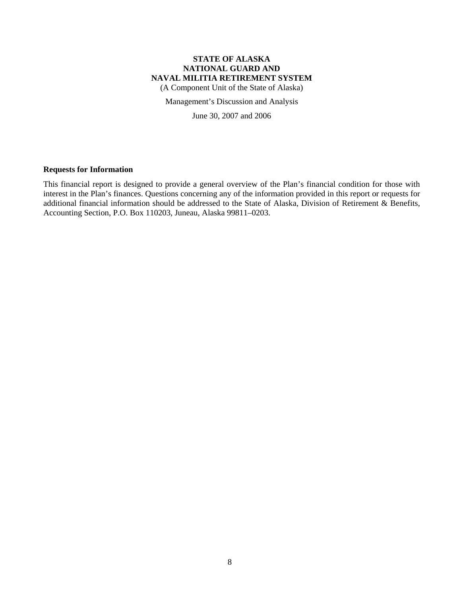(A Component Unit of the State of Alaska)

Management's Discussion and Analysis

June 30, 2007 and 2006

### **Requests for Information**

This financial report is designed to provide a general overview of the Plan's financial condition for those with interest in the Plan's finances. Questions concerning any of the information provided in this report or requests for additional financial information should be addressed to the State of Alaska, Division of Retirement & Benefits, Accounting Section, P.O. Box 110203, Juneau, Alaska 99811–0203.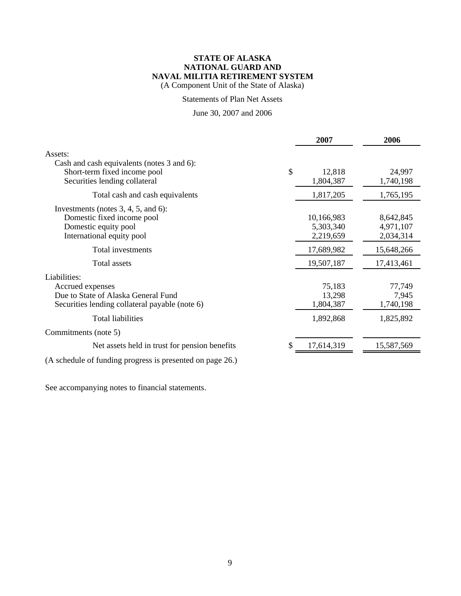(A Component Unit of the State of Alaska)

### Statements of Plan Net Assets

## June 30, 2007 and 2006

|                                                                                                                           | 2007                                 | 2006                                |
|---------------------------------------------------------------------------------------------------------------------------|--------------------------------------|-------------------------------------|
| Assets:<br>Cash and cash equivalents (notes 3 and 6):<br>Short-term fixed income pool<br>Securities lending collateral    | $\mathcal{S}$<br>12,818<br>1,804,387 | 24,997<br>1,740,198                 |
| Total cash and cash equivalents                                                                                           | 1,817,205                            | 1,765,195                           |
| Investments (notes $3, 4, 5$ , and 6):<br>Domestic fixed income pool<br>Domestic equity pool<br>International equity pool | 10,166,983<br>5,303,340<br>2,219,659 | 8,642,845<br>4,971,107<br>2,034,314 |
| Total investments                                                                                                         | 17,689,982                           | 15,648,266                          |
| <b>Total assets</b>                                                                                                       | 19,507,187                           | 17,413,461                          |
| Liabilities:<br>Accrued expenses<br>Due to State of Alaska General Fund<br>Securities lending collateral payable (note 6) | 75,183<br>13,298<br>1,804,387        | 77,749<br>7,945<br>1,740,198        |
| <b>Total liabilities</b>                                                                                                  | 1,892,868                            | 1,825,892                           |
| Commitments (note 5)                                                                                                      |                                      |                                     |
| Net assets held in trust for pension benefits                                                                             | 17,614,319                           | 15,587,569                          |
| (A schedule of funding progress is presented on page 26.)                                                                 |                                      |                                     |

See accompanying notes to financial statements.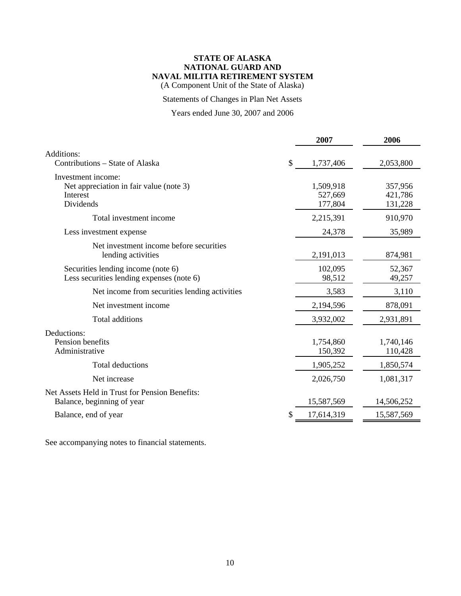(A Component Unit of the State of Alaska)

## Statements of Changes in Plan Net Assets

# Years ended June 30, 2007 and 2006

|                                                                                        | 2007                            | 2006                          |
|----------------------------------------------------------------------------------------|---------------------------------|-------------------------------|
| Additions:<br>Contributions – State of Alaska                                          | \$<br>1,737,406                 | 2,053,800                     |
| Investment income:<br>Net appreciation in fair value (note 3)<br>Interest<br>Dividends | 1,509,918<br>527,669<br>177,804 | 357,956<br>421,786<br>131,228 |
| Total investment income                                                                | 2,215,391                       | 910,970                       |
| Less investment expense                                                                | 24,378                          | 35,989                        |
| Net investment income before securities<br>lending activities                          | 2,191,013                       | 874,981                       |
| Securities lending income (note 6)<br>Less securities lending expenses (note 6)        | 102,095<br>98,512               | 52,367<br>49,257              |
| Net income from securities lending activities                                          | 3,583                           | 3,110                         |
| Net investment income                                                                  | 2,194,596                       | 878,091                       |
| Total additions                                                                        | 3,932,002                       | 2,931,891                     |
| Deductions:<br>Pension benefits<br>Administrative                                      | 1,754,860<br>150,392            | 1,740,146<br>110,428          |
| <b>Total deductions</b>                                                                | 1,905,252                       | 1,850,574                     |
| Net increase                                                                           | 2,026,750                       | 1,081,317                     |
| Net Assets Held in Trust for Pension Benefits:<br>Balance, beginning of year           | 15,587,569                      | 14,506,252                    |
| Balance, end of year                                                                   | 17,614,319                      | 15,587,569                    |

See accompanying notes to financial statements.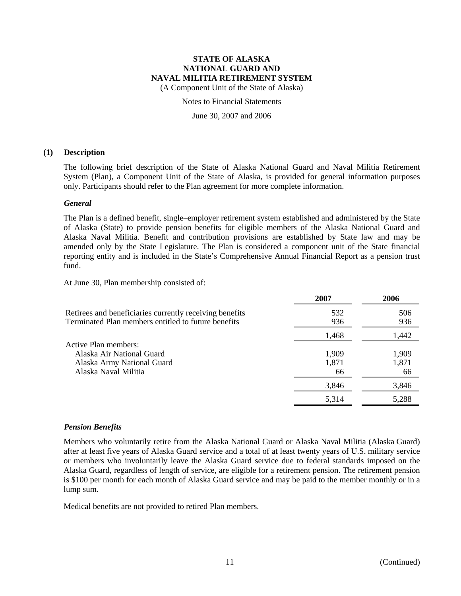(A Component Unit of the State of Alaska)

Notes to Financial Statements

June 30, 2007 and 2006

### **(1) Description**

The following brief description of the State of Alaska National Guard and Naval Militia Retirement System (Plan), a Component Unit of the State of Alaska, is provided for general information purposes only. Participants should refer to the Plan agreement for more complete information.

### *General*

The Plan is a defined benefit, single–employer retirement system established and administered by the State of Alaska (State) to provide pension benefits for eligible members of the Alaska National Guard and Alaska Naval Militia. Benefit and contribution provisions are established by State law and may be amended only by the State Legislature. The Plan is considered a component unit of the State financial reporting entity and is included in the State's Comprehensive Annual Financial Report as a pension trust fund.

At June 30, Plan membership consisted of:

|                                                                                                                | 2007           | 2006           |
|----------------------------------------------------------------------------------------------------------------|----------------|----------------|
| Retirees and beneficiaries currently receiving benefits<br>Terminated Plan members entitled to future benefits | 532<br>936     | 506<br>936     |
|                                                                                                                | 1,468          | 1,442          |
| <b>Active Plan members:</b><br>Alaska Air National Guard<br>Alaska Army National Guard                         | 1,909<br>1,871 | 1,909<br>1,871 |
| Alaska Naval Militia                                                                                           | 66             | 66             |
|                                                                                                                | 3,846          | 3,846          |
|                                                                                                                | 5,314          | 5,288          |
|                                                                                                                |                |                |

### *Pension Benefits*

Members who voluntarily retire from the Alaska National Guard or Alaska Naval Militia (Alaska Guard) after at least five years of Alaska Guard service and a total of at least twenty years of U.S. military service or members who involuntarily leave the Alaska Guard service due to federal standards imposed on the Alaska Guard, regardless of length of service, are eligible for a retirement pension. The retirement pension is \$100 per month for each month of Alaska Guard service and may be paid to the member monthly or in a lump sum.

Medical benefits are not provided to retired Plan members.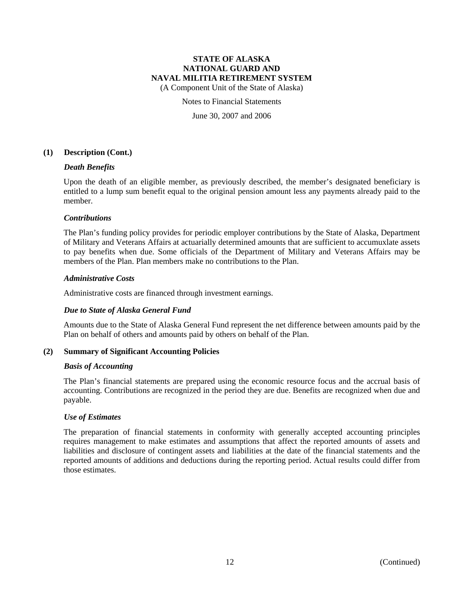(A Component Unit of the State of Alaska)

#### Notes to Financial Statements

June 30, 2007 and 2006

#### **(1) Description (Cont.)**

#### *Death Benefits*

Upon the death of an eligible member, as previously described, the member's designated beneficiary is entitled to a lump sum benefit equal to the original pension amount less any payments already paid to the member.

#### *Contributions*

The Plan's funding policy provides for periodic employer contributions by the State of Alaska, Department of Military and Veterans Affairs at actuarially determined amounts that are sufficient to accumuxlate assets to pay benefits when due. Some officials of the Department of Military and Veterans Affairs may be members of the Plan. Plan members make no contributions to the Plan.

#### *Administrative Costs*

Administrative costs are financed through investment earnings.

#### *Due to State of Alaska General Fund*

Amounts due to the State of Alaska General Fund represent the net difference between amounts paid by the Plan on behalf of others and amounts paid by others on behalf of the Plan.

#### **(2) Summary of Significant Accounting Policies**

#### *Basis of Accounting*

The Plan's financial statements are prepared using the economic resource focus and the accrual basis of accounting. Contributions are recognized in the period they are due. Benefits are recognized when due and payable.

#### *Use of Estimates*

The preparation of financial statements in conformity with generally accepted accounting principles requires management to make estimates and assumptions that affect the reported amounts of assets and liabilities and disclosure of contingent assets and liabilities at the date of the financial statements and the reported amounts of additions and deductions during the reporting period. Actual results could differ from those estimates.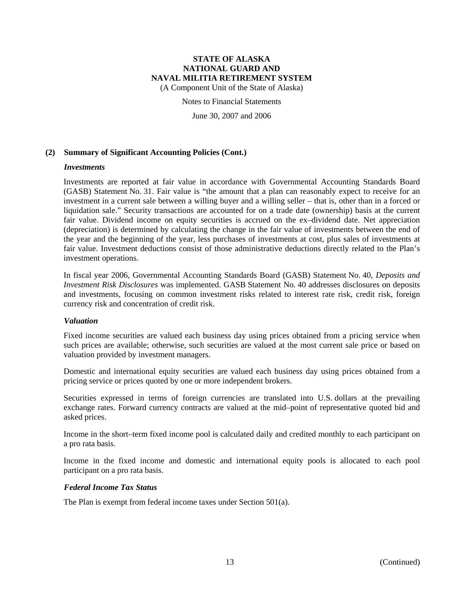(A Component Unit of the State of Alaska)

Notes to Financial Statements

June 30, 2007 and 2006

### **(2) Summary of Significant Accounting Policies (Cont.)**

#### *Investments*

Investments are reported at fair value in accordance with Governmental Accounting Standards Board (GASB) Statement No. 31. Fair value is "the amount that a plan can reasonably expect to receive for an investment in a current sale between a willing buyer and a willing seller – that is, other than in a forced or liquidation sale." Security transactions are accounted for on a trade date (ownership) basis at the current fair value. Dividend income on equity securities is accrued on the ex–dividend date. Net appreciation (depreciation) is determined by calculating the change in the fair value of investments between the end of the year and the beginning of the year, less purchases of investments at cost, plus sales of investments at fair value. Investment deductions consist of those administrative deductions directly related to the Plan's investment operations.

In fiscal year 2006, Governmental Accounting Standards Board (GASB) Statement No. 40, *Deposits and Investment Risk Disclosures* was implemented. GASB Statement No. 40 addresses disclosures on deposits and investments, focusing on common investment risks related to interest rate risk, credit risk, foreign currency risk and concentration of credit risk.

#### *Valuation*

Fixed income securities are valued each business day using prices obtained from a pricing service when such prices are available; otherwise, such securities are valued at the most current sale price or based on valuation provided by investment managers.

Domestic and international equity securities are valued each business day using prices obtained from a pricing service or prices quoted by one or more independent brokers.

Securities expressed in terms of foreign currencies are translated into U.S. dollars at the prevailing exchange rates. Forward currency contracts are valued at the mid–point of representative quoted bid and asked prices.

Income in the short–term fixed income pool is calculated daily and credited monthly to each participant on a pro rata basis.

Income in the fixed income and domestic and international equity pools is allocated to each pool participant on a pro rata basis.

#### *Federal Income Tax Status*

The Plan is exempt from federal income taxes under Section 501(a).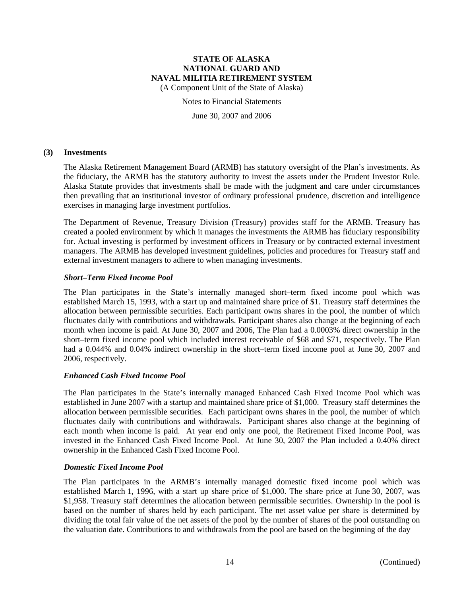(A Component Unit of the State of Alaska)

Notes to Financial Statements

June 30, 2007 and 2006

#### **(3) Investments**

The Alaska Retirement Management Board (ARMB) has statutory oversight of the Plan's investments. As the fiduciary, the ARMB has the statutory authority to invest the assets under the Prudent Investor Rule. Alaska Statute provides that investments shall be made with the judgment and care under circumstances then prevailing that an institutional investor of ordinary professional prudence, discretion and intelligence exercises in managing large investment portfolios.

The Department of Revenue, Treasury Division (Treasury) provides staff for the ARMB. Treasury has created a pooled environment by which it manages the investments the ARMB has fiduciary responsibility for. Actual investing is performed by investment officers in Treasury or by contracted external investment managers. The ARMB has developed investment guidelines, policies and procedures for Treasury staff and external investment managers to adhere to when managing investments.

### *Short–Term Fixed Income Pool*

The Plan participates in the State's internally managed short–term fixed income pool which was established March 15, 1993, with a start up and maintained share price of \$1. Treasury staff determines the allocation between permissible securities. Each participant owns shares in the pool, the number of which fluctuates daily with contributions and withdrawals. Participant shares also change at the beginning of each month when income is paid. At June 30, 2007 and 2006, The Plan had a 0.0003% direct ownership in the short–term fixed income pool which included interest receivable of \$68 and \$71, respectively. The Plan had a 0.044% and 0.04% indirect ownership in the short–term fixed income pool at June 30, 2007 and 2006, respectively.

### *Enhanced Cash Fixed Income Pool*

The Plan participates in the State's internally managed Enhanced Cash Fixed Income Pool which was established in June 2007 with a startup and maintained share price of \$1,000. Treasury staff determines the allocation between permissible securities. Each participant owns shares in the pool, the number of which fluctuates daily with contributions and withdrawals. Participant shares also change at the beginning of each month when income is paid. At year end only one pool, the Retirement Fixed Income Pool, was invested in the Enhanced Cash Fixed Income Pool. At June 30, 2007 the Plan included a 0.40% direct ownership in the Enhanced Cash Fixed Income Pool.

#### *Domestic Fixed Income Pool*

The Plan participates in the ARMB's internally managed domestic fixed income pool which was established March 1, 1996, with a start up share price of \$1,000. The share price at June 30, 2007, was \$1,958. Treasury staff determines the allocation between permissible securities. Ownership in the pool is based on the number of shares held by each participant. The net asset value per share is determined by dividing the total fair value of the net assets of the pool by the number of shares of the pool outstanding on the valuation date. Contributions to and withdrawals from the pool are based on the beginning of the day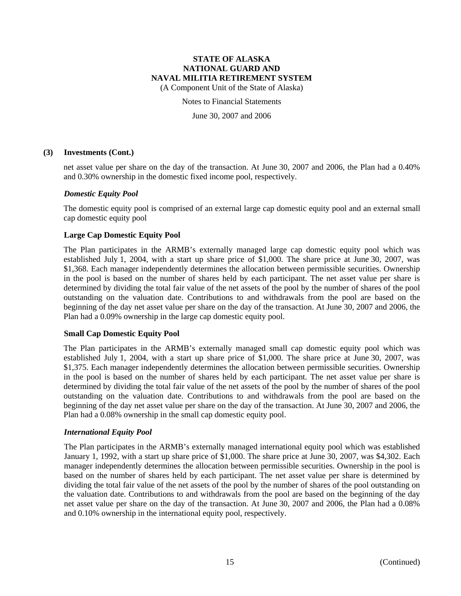(A Component Unit of the State of Alaska)

Notes to Financial Statements

June 30, 2007 and 2006

#### **(3) Investments (Cont.)**

net asset value per share on the day of the transaction. At June 30, 2007 and 2006, the Plan had a 0.40% and 0.30% ownership in the domestic fixed income pool, respectively.

### *Domestic Equity Pool*

The domestic equity pool is comprised of an external large cap domestic equity pool and an external small cap domestic equity pool

### **Large Cap Domestic Equity Pool**

The Plan participates in the ARMB's externally managed large cap domestic equity pool which was established July 1, 2004, with a start up share price of \$1,000. The share price at June 30, 2007, was \$1,368. Each manager independently determines the allocation between permissible securities. Ownership in the pool is based on the number of shares held by each participant. The net asset value per share is determined by dividing the total fair value of the net assets of the pool by the number of shares of the pool outstanding on the valuation date. Contributions to and withdrawals from the pool are based on the beginning of the day net asset value per share on the day of the transaction. At June 30, 2007 and 2006, the Plan had a 0.09% ownership in the large cap domestic equity pool.

### **Small Cap Domestic Equity Pool**

The Plan participates in the ARMB's externally managed small cap domestic equity pool which was established July 1, 2004, with a start up share price of \$1,000. The share price at June 30, 2007, was \$1,375. Each manager independently determines the allocation between permissible securities. Ownership in the pool is based on the number of shares held by each participant. The net asset value per share is determined by dividing the total fair value of the net assets of the pool by the number of shares of the pool outstanding on the valuation date. Contributions to and withdrawals from the pool are based on the beginning of the day net asset value per share on the day of the transaction. At June 30, 2007 and 2006, the Plan had a 0.08% ownership in the small cap domestic equity pool.

#### *International Equity Pool*

The Plan participates in the ARMB's externally managed international equity pool which was established January 1, 1992, with a start up share price of \$1,000. The share price at June 30, 2007, was \$4,302. Each manager independently determines the allocation between permissible securities. Ownership in the pool is based on the number of shares held by each participant. The net asset value per share is determined by dividing the total fair value of the net assets of the pool by the number of shares of the pool outstanding on the valuation date. Contributions to and withdrawals from the pool are based on the beginning of the day net asset value per share on the day of the transaction. At June 30, 2007 and 2006, the Plan had a 0.08% and 0.10% ownership in the international equity pool, respectively.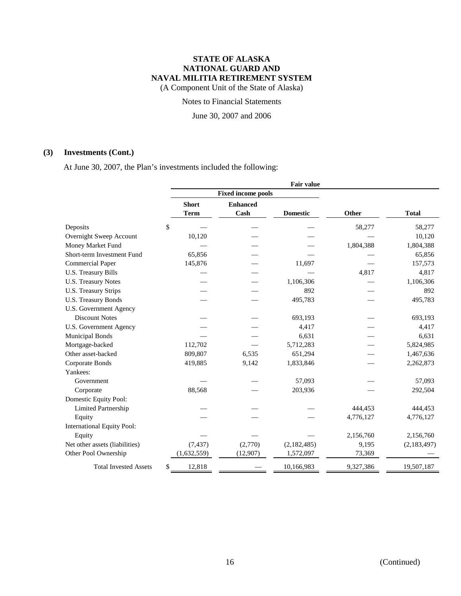(A Component Unit of the State of Alaska)

Notes to Financial Statements

June 30, 2007 and 2006

## **(3) Investments (Cont.)**

At June 30, 2007, the Plan's investments included the following:

|                                   |                           |                 |         |                 | <b>Fair value</b> |       |           |              |             |
|-----------------------------------|---------------------------|-----------------|---------|-----------------|-------------------|-------|-----------|--------------|-------------|
|                                   | <b>Fixed income pools</b> |                 |         |                 |                   |       |           |              |             |
|                                   | <b>Short</b>              | <b>Enhanced</b> |         |                 |                   |       |           |              |             |
|                                   | <b>Term</b>               | Cash            |         | <b>Domestic</b> |                   | Other |           | <b>Total</b> |             |
| Deposits                          | \$                        |                 |         |                 |                   |       | 58,277    |              | 58,277      |
| Overnight Sweep Account           | 10,120                    |                 |         |                 |                   |       |           |              | 10,120      |
| Money Market Fund                 |                           |                 |         |                 |                   |       | 1,804,388 |              | 1,804,388   |
| Short-term Investment Fund        | 65,856                    |                 |         |                 |                   |       |           |              | 65,856      |
| <b>Commercial Paper</b>           | 145,876                   |                 |         |                 | 11,697            |       |           |              | 157,573     |
| U.S. Treasury Bills               |                           |                 |         |                 |                   |       | 4,817     |              | 4,817       |
| <b>U.S. Treasury Notes</b>        |                           |                 |         |                 | 1,106,306         |       |           |              | 1,106,306   |
| <b>U.S. Treasury Strips</b>       |                           |                 |         |                 | 892               |       |           |              | 892         |
| U.S. Treasury Bonds               |                           |                 |         |                 | 495,783           |       |           |              | 495,783     |
| U.S. Government Agency            |                           |                 |         |                 |                   |       |           |              |             |
| <b>Discount Notes</b>             |                           |                 |         |                 | 693,193           |       |           |              | 693,193     |
| U.S. Government Agency            |                           |                 |         |                 | 4,417             |       |           |              | 4,417       |
| <b>Municipal Bonds</b>            |                           |                 |         |                 | 6,631             |       |           |              | 6,631       |
| Mortgage-backed                   | 112,702                   |                 |         |                 | 5,712,283         |       |           |              | 5,824,985   |
| Other asset-backed                | 809,807                   |                 | 6,535   |                 | 651,294           |       |           |              | 1,467,636   |
| Corporate Bonds                   | 419,885                   |                 | 9,142   |                 | 1,833,846         |       |           |              | 2,262,873   |
| Yankees:                          |                           |                 |         |                 |                   |       |           |              |             |
| Government                        |                           |                 |         |                 | 57,093            |       |           |              | 57,093      |
| Corporate                         | 88,568                    |                 |         |                 | 203,936           |       |           |              | 292,504     |
| Domestic Equity Pool:             |                           |                 |         |                 |                   |       |           |              |             |
| Limited Partnership               |                           |                 |         |                 |                   |       | 444,453   |              | 444,453     |
| Equity                            |                           |                 |         |                 |                   |       | 4,776,127 |              | 4,776,127   |
| <b>International Equity Pool:</b> |                           |                 |         |                 |                   |       |           |              |             |
| Equity                            |                           |                 |         |                 |                   |       | 2,156,760 |              | 2,156,760   |
| Net other assets (liabilities)    | (7, 437)                  |                 | (2,770) |                 | (2,182,485)       |       | 9,195     |              | (2,183,497) |
| Other Pool Ownership              | (1,632,559)               | (12,907)        |         |                 | 1,572,097         |       | 73,369    |              |             |
| <b>Total Invested Assets</b>      | \$<br>12,818              |                 |         | 10,166,983      |                   |       | 9,327,386 |              | 19,507,187  |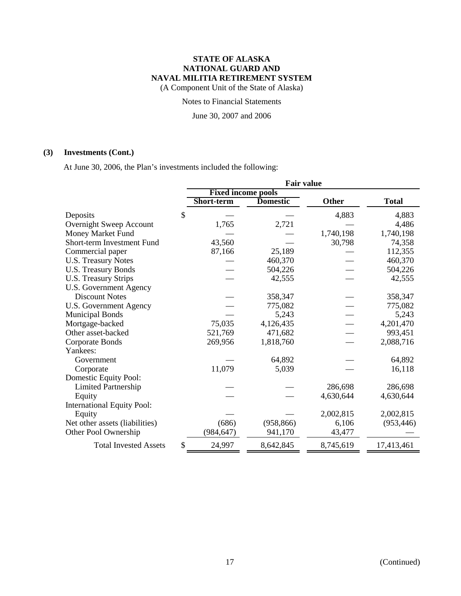(A Component Unit of the State of Alaska)

Notes to Financial Statements

June 30, 2007 and 2006

## **(3) Investments (Cont.)**

At June 30, 2006, the Plan's investments included the following:

|                                   | <b>Fair value</b>         |                 |           |              |  |
|-----------------------------------|---------------------------|-----------------|-----------|--------------|--|
|                                   | <b>Fixed income pools</b> |                 |           |              |  |
|                                   | Short-term                | <b>Domestic</b> | Other     | <b>Total</b> |  |
| Deposits                          | \$                        |                 | 4,883     | 4,883        |  |
| Overnight Sweep Account           | 1,765                     | 2,721           |           | 4,486        |  |
| Money Market Fund                 |                           |                 | 1,740,198 | 1,740,198    |  |
| Short-term Investment Fund        | 43,560                    |                 | 30,798    | 74,358       |  |
| Commercial paper                  | 87,166                    | 25,189          |           | 112,355      |  |
| <b>U.S. Treasury Notes</b>        |                           | 460,370         |           | 460,370      |  |
| <b>U.S. Treasury Bonds</b>        |                           | 504,226         |           | 504,226      |  |
| U.S. Treasury Strips              |                           | 42,555          |           | 42,555       |  |
| <b>U.S. Government Agency</b>     |                           |                 |           |              |  |
| <b>Discount Notes</b>             |                           | 358,347         |           | 358,347      |  |
| <b>U.S. Government Agency</b>     |                           | 775,082         |           | 775,082      |  |
| <b>Municipal Bonds</b>            |                           | 5,243           |           | 5,243        |  |
| Mortgage-backed                   | 75,035                    | 4,126,435       |           | 4,201,470    |  |
| Other asset-backed                | 521,769                   | 471,682         |           | 993,451      |  |
| <b>Corporate Bonds</b>            | 269,956                   | 1,818,760       |           | 2,088,716    |  |
| Yankees:                          |                           |                 |           |              |  |
| Government                        |                           | 64,892          |           | 64,892       |  |
| Corporate                         | 11,079                    | 5,039           |           | 16,118       |  |
| Domestic Equity Pool:             |                           |                 |           |              |  |
| <b>Limited Partnership</b>        |                           |                 | 286,698   | 286,698      |  |
| Equity                            |                           |                 | 4,630,644 | 4,630,644    |  |
| <b>International Equity Pool:</b> |                           |                 |           |              |  |
| Equity                            |                           |                 | 2,002,815 | 2,002,815    |  |
| Net other assets (liabilities)    | (686)                     | (958, 866)      | 6,106     | (953, 446)   |  |
| Other Pool Ownership              | (984, 647)                | 941,170         | 43,477    |              |  |
| <b>Total Invested Assets</b>      | \$<br>24,997              | 8,642,845       | 8,745,619 | 17,413,461   |  |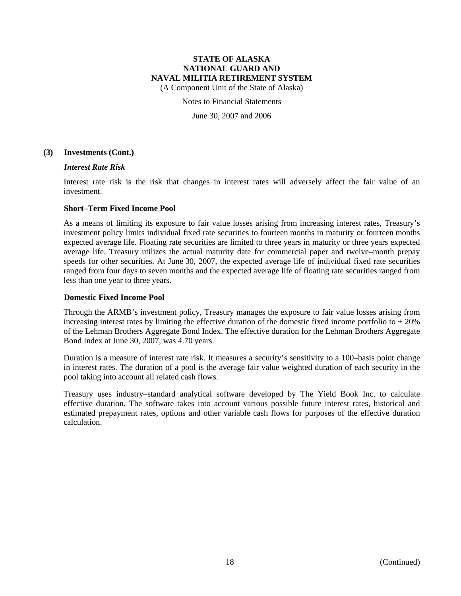(A Component Unit of the State of Alaska)

#### Notes to Financial Statements

June 30, 2007 and 2006

#### **(3) Investments (Cont.)**

#### *Interest Rate Risk*

Interest rate risk is the risk that changes in interest rates will adversely affect the fair value of an investment.

#### **Short–Term Fixed Income Pool**

As a means of limiting its exposure to fair value losses arising from increasing interest rates, Treasury's investment policy limits individual fixed rate securities to fourteen months in maturity or fourteen months expected average life. Floating rate securities are limited to three years in maturity or three years expected average life. Treasury utilizes the actual maturity date for commercial paper and twelve–month prepay speeds for other securities. At June 30, 2007, the expected average life of individual fixed rate securities ranged from four days to seven months and the expected average life of floating rate securities ranged from less than one year to three years.

#### **Domestic Fixed Income Pool**

Through the ARMB's investment policy, Treasury manages the exposure to fair value losses arising from increasing interest rates by limiting the effective duration of the domestic fixed income portfolio to  $\pm 20\%$ of the Lehman Brothers Aggregate Bond Index. The effective duration for the Lehman Brothers Aggregate Bond Index at June 30, 2007, was 4.70 years.

Duration is a measure of interest rate risk. It measures a security's sensitivity to a 100–basis point change in interest rates. The duration of a pool is the average fair value weighted duration of each security in the pool taking into account all related cash flows.

Treasury uses industry–standard analytical software developed by The Yield Book Inc. to calculate effective duration. The software takes into account various possible future interest rates, historical and estimated prepayment rates, options and other variable cash flows for purposes of the effective duration calculation.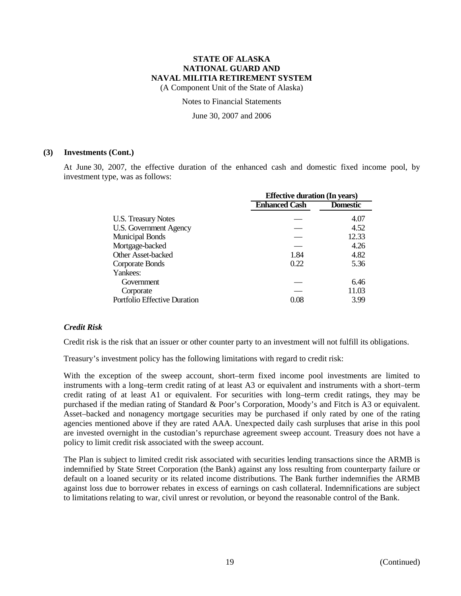(A Component Unit of the State of Alaska)

Notes to Financial Statements

June 30, 2007 and 2006

#### **(3) Investments (Cont.)**

At June 30, 2007, the effective duration of the enhanced cash and domestic fixed income pool, by investment type, was as follows:

|                               | <b>Effective duration (In years)</b> |                 |  |  |
|-------------------------------|--------------------------------------|-----------------|--|--|
|                               | <b>Enhanced Cash</b>                 | <b>Domestic</b> |  |  |
| <b>U.S. Treasury Notes</b>    |                                      | 4.07            |  |  |
| <b>U.S. Government Agency</b> |                                      | 4.52            |  |  |
| <b>Municipal Bonds</b>        |                                      | 12.33           |  |  |
| Mortgage-backed               |                                      | 4.26            |  |  |
| Other Asset-backed            | 1.84                                 | 4.82            |  |  |
| Corporate Bonds               | 0.22                                 | 5.36            |  |  |
| Yankees:                      |                                      |                 |  |  |
| Government                    |                                      | 6.46            |  |  |
| Corporate                     |                                      | 11.03           |  |  |
| Portfolio Effective Duration  | 0.08                                 | 3.99            |  |  |
|                               |                                      |                 |  |  |

### *Credit Risk*

Credit risk is the risk that an issuer or other counter party to an investment will not fulfill its obligations.

Treasury's investment policy has the following limitations with regard to credit risk:

With the exception of the sweep account, short–term fixed income pool investments are limited to instruments with a long–term credit rating of at least A3 or equivalent and instruments with a short–term credit rating of at least A1 or equivalent. For securities with long–term credit ratings, they may be purchased if the median rating of Standard & Poor's Corporation, Moody's and Fitch is A3 or equivalent. Asset–backed and nonagency mortgage securities may be purchased if only rated by one of the rating agencies mentioned above if they are rated AAA. Unexpected daily cash surpluses that arise in this pool are invested overnight in the custodian's repurchase agreement sweep account. Treasury does not have a policy to limit credit risk associated with the sweep account.

The Plan is subject to limited credit risk associated with securities lending transactions since the ARMB is indemnified by State Street Corporation (the Bank) against any loss resulting from counterparty failure or default on a loaned security or its related income distributions. The Bank further indemnifies the ARMB against loss due to borrower rebates in excess of earnings on cash collateral. Indemnifications are subject to limitations relating to war, civil unrest or revolution, or beyond the reasonable control of the Bank.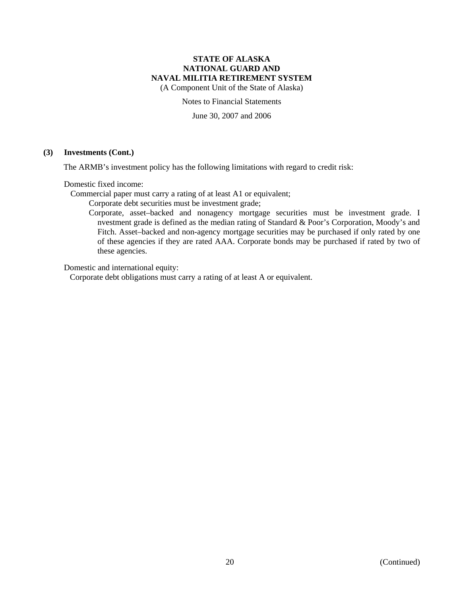(A Component Unit of the State of Alaska)

Notes to Financial Statements

June 30, 2007 and 2006

#### **(3) Investments (Cont.)**

The ARMB's investment policy has the following limitations with regard to credit risk:

Domestic fixed income:

Commercial paper must carry a rating of at least A1 or equivalent;

Corporate debt securities must be investment grade;

 Corporate, asset–backed and nonagency mortgage securities must be investment grade. I nvestment grade is defined as the median rating of Standard & Poor's Corporation, Moody's and Fitch. Asset–backed and non-agency mortgage securities may be purchased if only rated by one of these agencies if they are rated AAA. Corporate bonds may be purchased if rated by two of these agencies.

Domestic and international equity:

Corporate debt obligations must carry a rating of at least A or equivalent.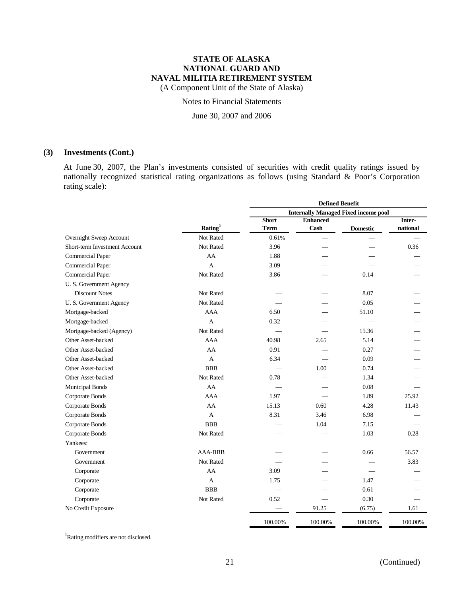(A Component Unit of the State of Alaska)

Notes to Financial Statements

June 30, 2007 and 2006

#### **(3) Investments (Cont.)**

At June 30, 2007, the Plan's investments consisted of securities with credit quality ratings issued by nationally recognized statistical rating organizations as follows (using Standard & Poor's Corporation rating scale):

|                               |                | <b>Defined Benefit</b> |                 |                                             |          |
|-------------------------------|----------------|------------------------|-----------------|---------------------------------------------|----------|
|                               |                |                        |                 | <b>Internally Managed Fixed income pool</b> |          |
|                               |                | <b>Short</b>           | <b>Enhanced</b> |                                             | Inter-   |
|                               | Rating $1$     | <b>Term</b>            | Cash            | <b>Domestic</b>                             | national |
| Overnight Sweep Account       | Not Rated      | 0.61%                  |                 |                                             |          |
| Short-term Investment Account | Not Rated      | 3.96                   |                 |                                             | 0.36     |
| <b>Commercial Paper</b>       | AA             | 1.88                   |                 |                                             |          |
| Commercial Paper              | $\overline{A}$ | 3.09                   |                 |                                             |          |
| <b>Commercial Paper</b>       | Not Rated      | 3.86                   |                 | 0.14                                        |          |
| U.S. Government Agency        |                |                        |                 |                                             |          |
| <b>Discount Notes</b>         | Not Rated      |                        |                 | 8.07                                        |          |
| U.S. Government Agency        | Not Rated      |                        |                 | 0.05                                        |          |
| Mortgage-backed               | <b>AAA</b>     | 6.50                   |                 | 51.10                                       |          |
| Mortgage-backed               | A              | 0.32                   |                 |                                             |          |
| Mortgage-backed (Agency)      | Not Rated      |                        |                 | 15.36                                       |          |
| Other Asset-backed            | <b>AAA</b>     | 40.98                  | 2.65            | 5.14                                        |          |
| Other Asset-backed            | AA             | 0.91                   |                 | 0.27                                        |          |
| Other Asset-backed            | A              | 6.34                   |                 | 0.09                                        |          |
| Other Asset-backed            | <b>BBB</b>     |                        | 1.00            | 0.74                                        |          |
| Other Asset-backed            | Not Rated      | 0.78                   |                 | 1.34                                        |          |
| <b>Municipal Bonds</b>        | AA             |                        |                 | 0.08                                        |          |
| Corporate Bonds               | <b>AAA</b>     | 1.97                   |                 | 1.89                                        | 25.92    |
| Corporate Bonds               | AA             | 15.13                  | 0.60            | 4.28                                        | 11.43    |
| Corporate Bonds               | A              | 8.31                   | 3.46            | 6.98                                        |          |
| Corporate Bonds               | <b>BBB</b>     |                        | 1.04            | 7.15                                        |          |
| Corporate Bonds               | Not Rated      |                        |                 | 1.03                                        | 0.28     |
| Yankees:                      |                |                        |                 |                                             |          |
| Government                    | <b>AAA-BBB</b> |                        |                 | 0.66                                        | 56.57    |
| Government                    | Not Rated      |                        |                 |                                             | 3.83     |
| Corporate                     | AA             | 3.09                   |                 |                                             |          |
| Corporate                     | A              | 1.75                   |                 | 1.47                                        |          |
| Corporate                     | <b>BBB</b>     |                        |                 | 0.61                                        |          |
| Corporate                     | Not Rated      | 0.52                   |                 | 0.30                                        |          |
| No Credit Exposure            |                |                        | 91.25           | (6.75)                                      | 1.61     |
|                               |                | 100.00%                | 100.00%         | 100.00%                                     | 100.00%  |

<sup>1</sup>Rating modifiers are not disclosed.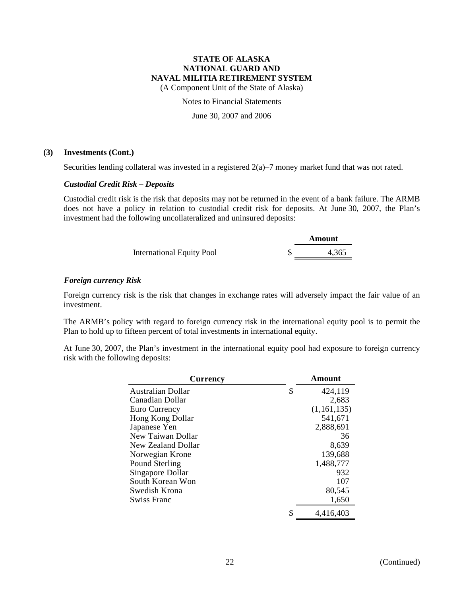(A Component Unit of the State of Alaska)

Notes to Financial Statements

June 30, 2007 and 2006

### **(3) Investments (Cont.)**

Securities lending collateral was invested in a registered 2(a)–7 money market fund that was not rated.

### *Custodial Credit Risk – Deposits*

Custodial credit risk is the risk that deposits may not be returned in the event of a bank failure. The ARMB does not have a policy in relation to custodial credit risk for deposits. At June 30, 2007, the Plan's investment had the following uncollateralized and uninsured deposits:

|                                  | Amount |
|----------------------------------|--------|
| <b>International Equity Pool</b> | 4,365  |

### *Foreign currency Risk*

Foreign currency risk is the risk that changes in exchange rates will adversely impact the fair value of an investment.

The ARMB's policy with regard to foreign currency risk in the international equity pool is to permit the Plan to hold up to fifteen percent of total investments in international equity.

At June 30, 2007, the Plan's investment in the international equity pool had exposure to foreign currency risk with the following deposits:

| <b>Currency</b>          |    | Amount      |
|--------------------------|----|-------------|
| <b>Australian Dollar</b> | S  | 424,119     |
| Canadian Dollar          |    | 2,683       |
| Euro Currency            |    | (1,161,135) |
| Hong Kong Dollar         |    | 541,671     |
| Japanese Yen             |    | 2,888,691   |
| New Taiwan Dollar        |    | 36          |
| New Zealand Dollar       |    | 8,639       |
| Norwegian Krone          |    | 139,688     |
| Pound Sterling           |    | 1,488,777   |
| Singapore Dollar         |    | 932         |
| South Korean Won         |    | 107         |
| Swedish Krona            |    | 80,545      |
| Swiss Franc              |    | 1,650       |
|                          | \$ | 4.416.403   |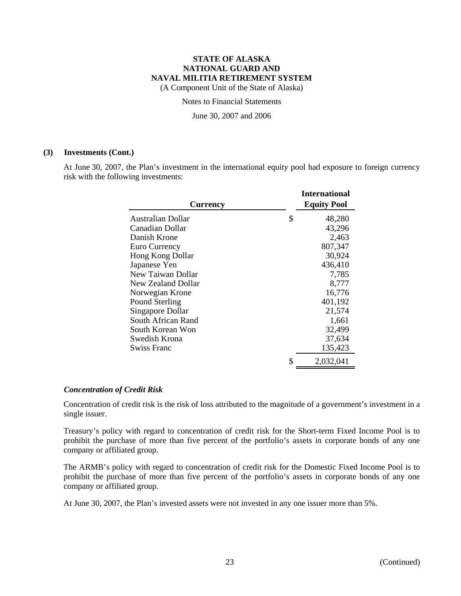(A Component Unit of the State of Alaska)

Notes to Financial Statements

June 30, 2007 and 2006

#### **(3) Investments (Cont.)**

At June 30, 2007, the Plan's investment in the international equity pool had exposure to foreign currency risk with the following investments:

| <b>Currency</b>          | <b>International</b><br><b>Equity Pool</b> |
|--------------------------|--------------------------------------------|
| <b>Australian Dollar</b> | \$<br>48,280                               |
| Canadian Dollar          | 43,296                                     |
| Danish Krone             | 2,463                                      |
| Euro Currency            | 807,347                                    |
| Hong Kong Dollar         | 30,924                                     |
| Japanese Yen             | 436,410                                    |
| New Taiwan Dollar        | 7,785                                      |
| New Zealand Dollar       | 8,777                                      |
| Norwegian Krone          | 16,776                                     |
| Pound Sterling           | 401,192                                    |
| Singapore Dollar         | 21,574                                     |
| South African Rand       | 1,661                                      |
| South Korean Won         | 32,499                                     |
| Swedish Krona            | 37,634                                     |
| Swiss Franc              | 135,423                                    |
|                          | \$<br>2,032,041                            |

#### *Concentration of Credit Risk*

Concentration of credit risk is the risk of loss attributed to the magnitude of a government's investment in a single issuer.

Treasury's policy with regard to concentration of credit risk for the Short-term Fixed Income Pool is to prohibit the purchase of more than five percent of the portfolio's assets in corporate bonds of any one company or affiliated group.

The ARMB's policy with regard to concentration of credit risk for the Domestic Fixed Income Pool is to prohibit the purchase of more than five percent of the portfolio's assets in corporate bonds of any one company or affiliated group.

At June 30, 2007, the Plan's invested assets were not invested in any one issuer more than 5%.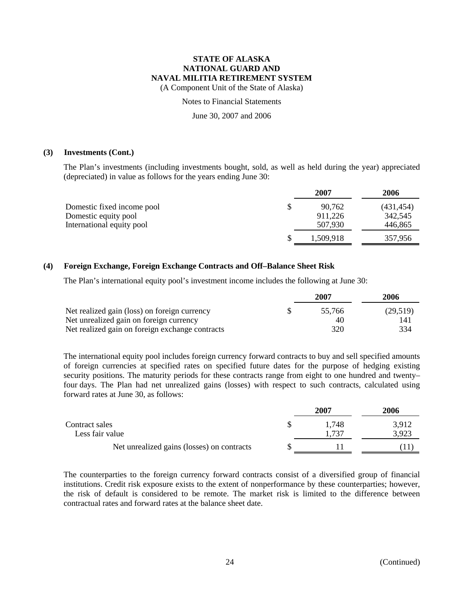(A Component Unit of the State of Alaska)

Notes to Financial Statements

June 30, 2007 and 2006

#### **(3) Investments (Cont.)**

The Plan's investments (including investments bought, sold, as well as held during the year) appreciated (depreciated) in value as follows for the years ending June 30:

|                            | 2007         | 2006       |
|----------------------------|--------------|------------|
| Domestic fixed income pool | \$<br>90.762 | (431, 454) |
| Domestic equity pool       | 911,226      | 342,545    |
| International equity pool  | 507,930      | 446,865    |
|                            | 1,509,918    | 357,956    |

### **(4) Foreign Exchange, Foreign Exchange Contracts and Off–Balance Sheet Risk**

The Plan's international equity pool's investment income includes the following at June 30:

|                                                 | 2007   | 2006     |
|-------------------------------------------------|--------|----------|
| Net realized gain (loss) on foreign currency    | 55.766 | (29,519) |
| Net unrealized gain on foreign currency         | 40     | 141      |
| Net realized gain on foreign exchange contracts | 320    | 334      |

The international equity pool includes foreign currency forward contracts to buy and sell specified amounts of foreign currencies at specified rates on specified future dates for the purpose of hedging existing security positions. The maturity periods for these contracts range from eight to one hundred and twenty– four days. The Plan had net unrealized gains (losses) with respect to such contracts, calculated using forward rates at June 30, as follows:

|                                            | 2007          | 2006           |
|--------------------------------------------|---------------|----------------|
| Contract sales<br>Less fair value          | 1.748<br>.737 | 3,912<br>3,923 |
| Net unrealized gains (losses) on contracts |               |                |

The counterparties to the foreign currency forward contracts consist of a diversified group of financial institutions. Credit risk exposure exists to the extent of nonperformance by these counterparties; however, the risk of default is considered to be remote. The market risk is limited to the difference between contractual rates and forward rates at the balance sheet date.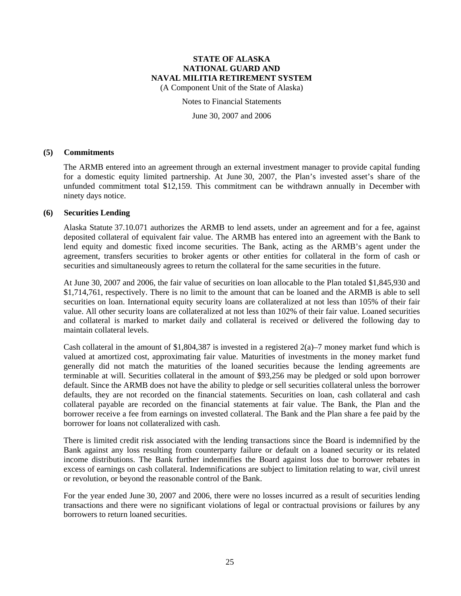(A Component Unit of the State of Alaska)

Notes to Financial Statements

June 30, 2007 and 2006

#### **(5) Commitments**

The ARMB entered into an agreement through an external investment manager to provide capital funding for a domestic equity limited partnership. At June 30, 2007, the Plan's invested asset's share of the unfunded commitment total \$12,159. This commitment can be withdrawn annually in December with ninety days notice.

### **(6) Securities Lending**

Alaska Statute 37.10.071 authorizes the ARMB to lend assets, under an agreement and for a fee, against deposited collateral of equivalent fair value. The ARMB has entered into an agreement with the Bank to lend equity and domestic fixed income securities. The Bank, acting as the ARMB's agent under the agreement, transfers securities to broker agents or other entities for collateral in the form of cash or securities and simultaneously agrees to return the collateral for the same securities in the future.

At June 30, 2007 and 2006, the fair value of securities on loan allocable to the Plan totaled \$1,845,930 and \$1,714,761, respectively. There is no limit to the amount that can be loaned and the ARMB is able to sell securities on loan. International equity security loans are collateralized at not less than 105% of their fair value. All other security loans are collateralized at not less than 102% of their fair value. Loaned securities and collateral is marked to market daily and collateral is received or delivered the following day to maintain collateral levels.

Cash collateral in the amount of \$1,804,387 is invested in a registered  $2(a)$ –7 money market fund which is valued at amortized cost, approximating fair value. Maturities of investments in the money market fund generally did not match the maturities of the loaned securities because the lending agreements are terminable at will. Securities collateral in the amount of \$93,256 may be pledged or sold upon borrower default. Since the ARMB does not have the ability to pledge or sell securities collateral unless the borrower defaults, they are not recorded on the financial statements. Securities on loan, cash collateral and cash collateral payable are recorded on the financial statements at fair value. The Bank, the Plan and the borrower receive a fee from earnings on invested collateral. The Bank and the Plan share a fee paid by the borrower for loans not collateralized with cash.

There is limited credit risk associated with the lending transactions since the Board is indemnified by the Bank against any loss resulting from counterparty failure or default on a loaned security or its related income distributions. The Bank further indemnifies the Board against loss due to borrower rebates in excess of earnings on cash collateral. Indemnifications are subject to limitation relating to war, civil unrest or revolution, or beyond the reasonable control of the Bank.

For the year ended June 30, 2007 and 2006, there were no losses incurred as a result of securities lending transactions and there were no significant violations of legal or contractual provisions or failures by any borrowers to return loaned securities.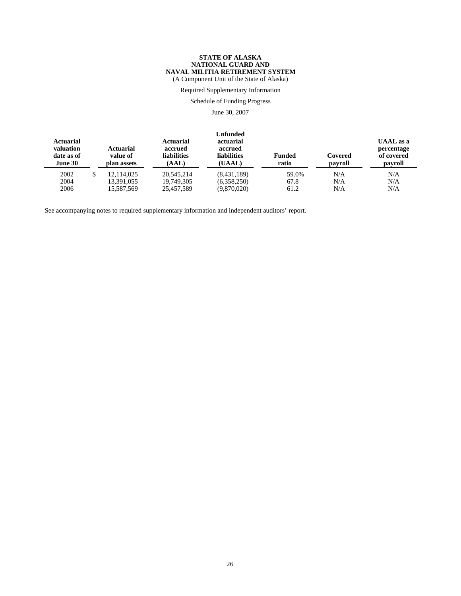(A Component Unit of the State of Alaska)

Required Supplementary Information

Schedule of Funding Progress

June 30, 2007

| <b>Actuarial</b><br>valuation<br>date as of<br>June 30 | <b>Actuarial</b><br>value of<br>plan assets | <b>Actuarial</b><br>accrued<br><b>liabilities</b><br>(AAL) | <b>Unfunded</b><br>actuarial<br>accrued<br><b>liabilities</b><br>(UAAL) | Funded<br>ratio | Covered<br>payroll | <b>UAAL</b> as a<br>percentage<br>of covered<br>payroll |
|--------------------------------------------------------|---------------------------------------------|------------------------------------------------------------|-------------------------------------------------------------------------|-----------------|--------------------|---------------------------------------------------------|
| 2002                                                   | 12.114.025                                  | 20.545.214                                                 | (8,431,189)                                                             | 59.0%           | N/A                | N/A                                                     |
| 2004                                                   | 13,391,055                                  | 19,749,305                                                 | (6,358,250)                                                             | 67.8            | N/A                | N/A                                                     |
| 2006                                                   | 15,587,569                                  | 25,457,589                                                 | (9,870,020)                                                             | 61.2            | N/A                | N/A                                                     |

See accompanying notes to required supplementary information and independent auditors' report.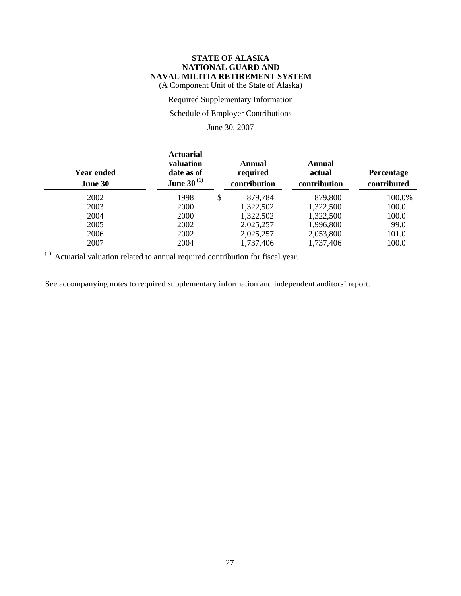(A Component Unit of the State of Alaska)

Required Supplementary Information

## Schedule of Employer Contributions

June 30, 2007

| Year ended<br>June 30 | <b>Actuarial</b><br>valuation<br>date as of<br><b>June 30</b> <sup>(1)</sup> | Annual<br>required<br>contribution | Annual<br>actual<br>contribution | Percentage<br>contributed |
|-----------------------|------------------------------------------------------------------------------|------------------------------------|----------------------------------|---------------------------|
| 2002                  | 1998                                                                         | \$<br>879,784                      | 879,800                          | 100.0%                    |
| 2003                  | 2000                                                                         | 1,322,502                          | 1,322,500                        | 100.0                     |
| 2004                  | 2000                                                                         | 1,322,502                          | 1,322,500                        | 100.0                     |
| 2005                  | 2002                                                                         | 2,025,257                          | 1,996,800                        | 99.0                      |
| 2006                  | 2002                                                                         | 2,025,257                          | 2,053,800                        | 101.0                     |
| 2007                  | 2004                                                                         | 1,737,406                          | 1,737,406                        | 100.0                     |
|                       |                                                                              |                                    |                                  |                           |

 $(1)$  Actuarial valuation related to annual required contribution for fiscal year.

See accompanying notes to required supplementary information and independent auditors' report.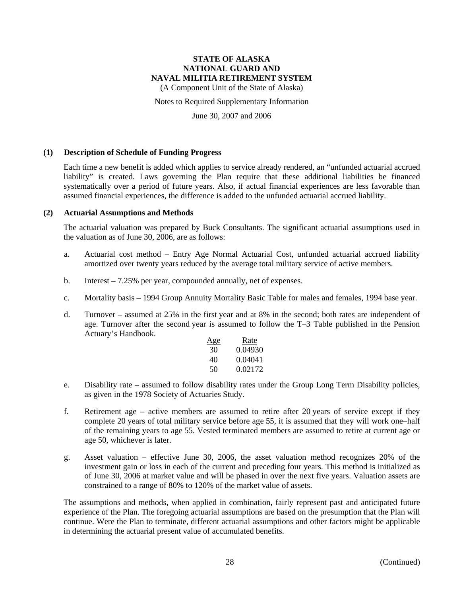(A Component Unit of the State of Alaska)

Notes to Required Supplementary Information

June 30, 2007 and 2006

#### **(1) Description of Schedule of Funding Progress**

Each time a new benefit is added which applies to service already rendered, an "unfunded actuarial accrued liability" is created. Laws governing the Plan require that these additional liabilities be financed systematically over a period of future years. Also, if actual financial experiences are less favorable than assumed financial experiences, the difference is added to the unfunded actuarial accrued liability.

#### **(2) Actuarial Assumptions and Methods**

The actuarial valuation was prepared by Buck Consultants. The significant actuarial assumptions used in the valuation as of June 30, 2006, are as follows:

- a. Actuarial cost method Entry Age Normal Actuarial Cost, unfunded actuarial accrued liability amortized over twenty years reduced by the average total military service of active members.
- b. Interest 7.25% per year, compounded annually, net of expenses.
- c. Mortality basis 1994 Group Annuity Mortality Basic Table for males and females, 1994 base year.
- d. Turnover assumed at 25% in the first year and at 8% in the second; both rates are independent of age. Turnover after the second year is assumed to follow the T–3 Table published in the Pension Actuary's Handbook.

| <u>Age</u> | Rate    |
|------------|---------|
| 30         | 0.04930 |
| 40         | 0.04041 |
| 50         | 0.02172 |

- e. Disability rate assumed to follow disability rates under the Group Long Term Disability policies, as given in the 1978 Society of Actuaries Study.
- f. Retirement age active members are assumed to retire after 20 years of service except if they complete 20 years of total military service before age 55, it is assumed that they will work one–half of the remaining years to age 55. Vested terminated members are assumed to retire at current age or age 50, whichever is later.
- g. Asset valuation effective June 30, 2006, the asset valuation method recognizes 20% of the investment gain or loss in each of the current and preceding four years. This method is initialized as of June 30, 2006 at market value and will be phased in over the next five years. Valuation assets are constrained to a range of 80% to 120% of the market value of assets.

The assumptions and methods, when applied in combination, fairly represent past and anticipated future experience of the Plan. The foregoing actuarial assumptions are based on the presumption that the Plan will continue. Were the Plan to terminate, different actuarial assumptions and other factors might be applicable in determining the actuarial present value of accumulated benefits.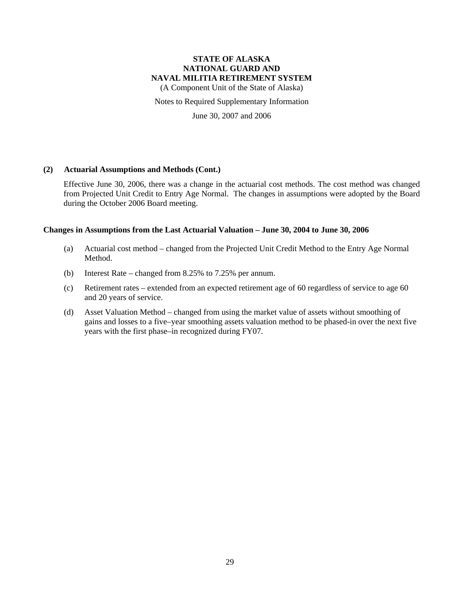(A Component Unit of the State of Alaska)

Notes to Required Supplementary Information

June 30, 2007 and 2006

### **(2) Actuarial Assumptions and Methods (Cont.)**

Effective June 30, 2006, there was a change in the actuarial cost methods. The cost method was changed from Projected Unit Credit to Entry Age Normal. The changes in assumptions were adopted by the Board during the October 2006 Board meeting.

### **Changes in Assumptions from the Last Actuarial Valuation – June 30, 2004 to June 30, 2006**

- (a) Actuarial cost method changed from the Projected Unit Credit Method to the Entry Age Normal Method.
- (b) Interest Rate changed from 8.25% to 7.25% per annum.
- (c) Retirement rates extended from an expected retirement age of 60 regardless of service to age 60 and 20 years of service.
- (d) Asset Valuation Method changed from using the market value of assets without smoothing of gains and losses to a five–year smoothing assets valuation method to be phased-in over the next five years with the first phase–in recognized during FY07.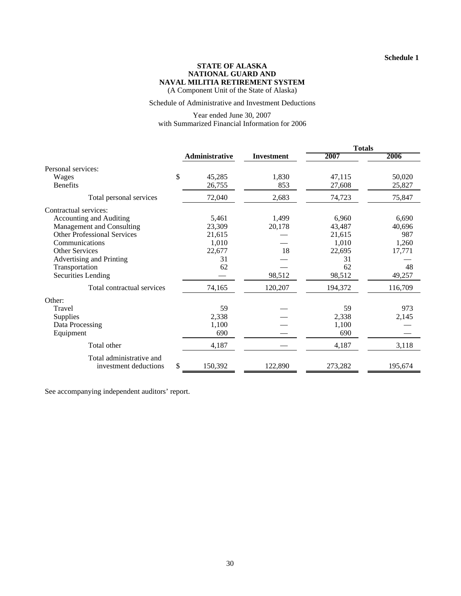#### **STATE OF ALASKA NATIONAL GUARD AND NAVAL MILITIA RETIREMENT SYSTEM** (A Component Unit of the State of Alaska)

Schedule of Administrative and Investment Deductions

Year ended June 30, 2007 with Summarized Financial Information for 2006

|                                    |                |                   | <b>Totals</b> |         |  |
|------------------------------------|----------------|-------------------|---------------|---------|--|
|                                    | Administrative | <b>Investment</b> | 2007          | 2006    |  |
| Personal services:                 |                |                   |               |         |  |
| Wages                              | \$<br>45,285   | 1,830             | 47,115        | 50,020  |  |
| <b>Benefits</b>                    | 26,755         | 853               | 27,608        | 25,827  |  |
| Total personal services            | 72,040         | 2,683             | 74,723        | 75,847  |  |
| Contractual services:              |                |                   |               |         |  |
| Accounting and Auditing            | 5,461          | 1,499             | 6,960         | 6,690   |  |
| Management and Consulting          | 23,309         | 20,178            | 43,487        | 40,696  |  |
| <b>Other Professional Services</b> | 21,615         |                   | 21,615        | 987     |  |
| Communications                     | 1,010          |                   | 1,010         | 1,260   |  |
| <b>Other Services</b>              | 22,677         | 18                | 22,695        | 17,771  |  |
| Advertising and Printing           | 31             |                   | 31            |         |  |
| Transportation                     | 62             |                   | 62            | 48      |  |
| <b>Securities Lending</b>          |                | 98,512            | 98,512        | 49,257  |  |
| Total contractual services         | 74,165         | 120,207           | 194,372       | 116,709 |  |
| Other:                             |                |                   |               |         |  |
| Travel                             | 59             |                   | 59            | 973     |  |
| Supplies                           | 2,338          |                   | 2,338         | 2,145   |  |
| Data Processing                    | 1,100          |                   | 1,100         |         |  |
| Equipment                          | 690            |                   | 690           |         |  |
| Total other                        | 4,187          |                   | 4,187         | 3,118   |  |
| Total administrative and           |                |                   |               |         |  |
| investment deductions              | \$<br>150,392  | 122,890           | 273,282       | 195,674 |  |

See accompanying independent auditors' report.